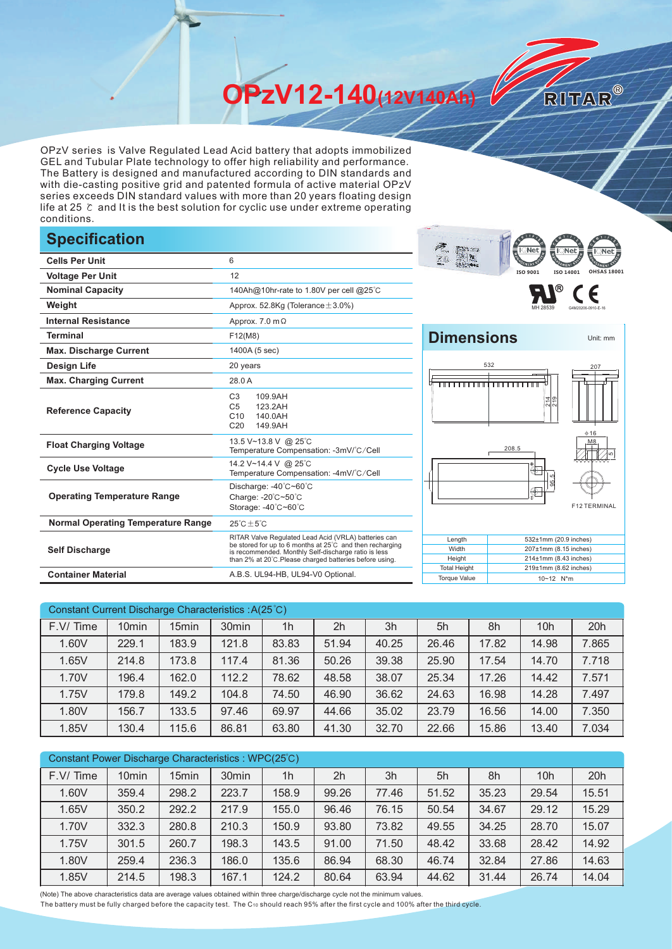**OPzV12-140(12V140Ah)** 

OPzV series is Valve Regulated Lead Acid battery that adopts immobilized GEL and Tubular Plate technology to offer high reliability and performance. The Battery is designed and manufactured according to DIN standards and with die-casting positive grid and patented formula of active material OPzV series exceeds DIN standard values with more than 20 years floating design life at 25 ℃ and It is the best solution for cyclic use under extreme operating conditions.

## **Specification**

| <b>Cells Per Unit</b>                     | 6                                                                                                                                                                                                                                  | .<br>アミ                                                                       |  |  |  |  |
|-------------------------------------------|------------------------------------------------------------------------------------------------------------------------------------------------------------------------------------------------------------------------------------|-------------------------------------------------------------------------------|--|--|--|--|
| <b>Voltage Per Unit</b>                   | 12                                                                                                                                                                                                                                 | ISO 9001<br>ISO 140                                                           |  |  |  |  |
| <b>Nominal Capacity</b>                   | 140Ah@10hr-rate to 1.80V per cell @25°C                                                                                                                                                                                            | ®                                                                             |  |  |  |  |
| Weight                                    | Approx. 52.8Kg (Tolerance $\pm$ 3.0%)                                                                                                                                                                                              |                                                                               |  |  |  |  |
| <b>Internal Resistance</b>                | Approx. $7.0 \text{ m}\Omega$                                                                                                                                                                                                      |                                                                               |  |  |  |  |
| <b>Terminal</b>                           | F12(M8)                                                                                                                                                                                                                            | <b>Dimensions</b>                                                             |  |  |  |  |
| <b>Max. Discharge Current</b>             | 1400A (5 sec)                                                                                                                                                                                                                      |                                                                               |  |  |  |  |
| <b>Design Life</b>                        | 20 years                                                                                                                                                                                                                           | 532                                                                           |  |  |  |  |
| <b>Max. Charging Current</b>              | 28.0 A                                                                                                                                                                                                                             |                                                                               |  |  |  |  |
| <b>Reference Capacity</b>                 | C <sub>3</sub><br>109.9AH<br>C <sub>5</sub><br>123.2AH<br>C10<br>140.0AH<br>C <sub>20</sub><br>149.9AH                                                                                                                             | 母 თ<br>입의                                                                     |  |  |  |  |
| <b>Float Charging Voltage</b>             | 13.5 V~13.8 V @ 25°C<br>Temperature Compensation: -3mV/°C/Cell                                                                                                                                                                     | 208.5                                                                         |  |  |  |  |
| <b>Cycle Use Voltage</b>                  | 14.2 V~14.4 V @ 25°C<br>Temperature Compensation: -4mV/°C/Cell                                                                                                                                                                     | $^*$                                                                          |  |  |  |  |
| <b>Operating Temperature Range</b>        | Discharge: -40°C~60°C<br>Charge: -20°C~50°C<br>Storage: -40°C~60°C                                                                                                                                                                 | $\bigcirc$                                                                    |  |  |  |  |
| <b>Normal Operating Temperature Range</b> | $25^{\circ}$ C $\pm$ 5 $^{\circ}$ C                                                                                                                                                                                                |                                                                               |  |  |  |  |
| <b>Self Discharge</b>                     | RITAR Valve Regulated Lead Acid (VRLA) batteries can<br>be stored for up to 6 months at 25°C and then recharging<br>is recommended. Monthly Self-discharge ratio is less<br>than 2% at 20°C.Please charged batteries before using. | Length<br>532±1mm (20.9)<br>Width<br>207±1mm (8.15<br>Height<br>214±1mm (8.43 |  |  |  |  |
| <b>Container Material</b>                 | A.B.S. UL94-HB, UL94-V0 Optional.                                                                                                                                                                                                  | <b>Total Height</b><br>219±1mm (8.62<br><b>Torque Value</b><br>10~12 N*m      |  |  |  |  |





RITAR®



| Constant Current Discharge Characteristics : A(25°C) |                   |       |                   |                |       |       |       |       |                 |       |
|------------------------------------------------------|-------------------|-------|-------------------|----------------|-------|-------|-------|-------|-----------------|-------|
| F.V/Time                                             | 10 <sub>min</sub> | 15min | 30 <sub>min</sub> | 1 <sub>h</sub> | 2h    | 3h    | 5h    | 8h    | 10 <sub>h</sub> | 20h   |
| 1.60V                                                | 229.1             | 183.9 | 121.8             | 83.83          | 51.94 | 40.25 | 26.46 | 17.82 | 14.98           | 7.865 |
| 1.65V                                                | 214.8             | 173.8 | 117.4             | 81.36          | 50.26 | 39.38 | 25.90 | 17.54 | 14.70           | 7.718 |
| 1.70V                                                | 196.4             | 162.0 | 112.2             | 78.62          | 48.58 | 38.07 | 25.34 | 17.26 | 14.42           | 7.571 |
| 1.75V                                                | 179.8             | 149.2 | 104.8             | 74.50          | 46.90 | 36.62 | 24.63 | 16.98 | 14.28           | 7.497 |
| 1.80V                                                | 156.7             | 133.5 | 97.46             | 69.97          | 44.66 | 35.02 | 23.79 | 16.56 | 14.00           | 7.350 |
| 1.85V                                                | 130.4             | 115.6 | 86.81             | 63.80          | 41.30 | 32.70 | 22.66 | 15.86 | 13.40           | 7.034 |

| Constant Power Discharge Characteristics : WPC(25°C) |                   |       |                   |                |                |       |       |       |                 |       |
|------------------------------------------------------|-------------------|-------|-------------------|----------------|----------------|-------|-------|-------|-----------------|-------|
| F.V/Time                                             | 10 <sub>min</sub> | 15min | 30 <sub>min</sub> | 1 <sub>h</sub> | 2 <sub>h</sub> | 3h    | 5h    | 8h    | 10 <sub>h</sub> | 20h   |
| 1.60V                                                | 359.4             | 298.2 | 223.7             | 158.9          | 99.26          | 77.46 | 51.52 | 35.23 | 29.54           | 15.51 |
| 1.65V                                                | 350.2             | 292.2 | 217.9             | 155.0          | 96.46          | 76.15 | 50.54 | 34.67 | 29.12           | 15.29 |
| 1.70V                                                | 332.3             | 280.8 | 210.3             | 150.9          | 93.80          | 73.82 | 49.55 | 34.25 | 28.70           | 15.07 |
| 1.75V                                                | 301.5             | 260.7 | 198.3             | 143.5          | 91.00          | 71.50 | 48.42 | 33.68 | 28.42           | 14.92 |
| 1.80V                                                | 259.4             | 236.3 | 186.0             | 135.6          | 86.94          | 68.30 | 46.74 | 32.84 | 27.86           | 14.63 |
| 1.85V                                                | 214.5             | 198.3 | 167.1             | 124.2          | 80.64          | 63.94 | 44.62 | 31.44 | 26.74           | 14.04 |

(Note) The above characteristics data are average values obtained within three charge/discharge cycle not the minimum values.

The battery must be fully charged before the capacity test. The C10 should reach 95% after the first cycle and 100% after the third cycle.